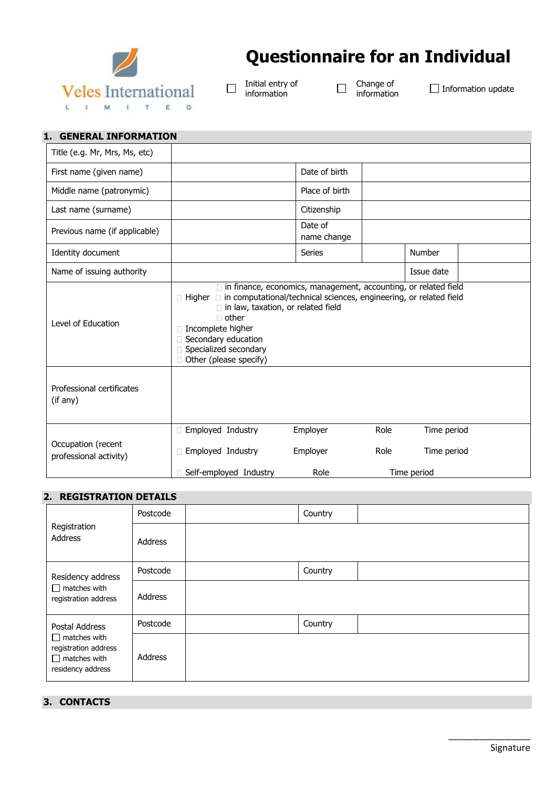

# **Questionnaire for an Individual**

Initial entry of  $\Box$ information

Change of<br>information

 $\Box$ 

 $\Box$  Information update

| 1. GENERAL INFORMATION                       |                                                                                                                                                                                                                                                                                                                                 |                              |              |                                           |  |
|----------------------------------------------|---------------------------------------------------------------------------------------------------------------------------------------------------------------------------------------------------------------------------------------------------------------------------------------------------------------------------------|------------------------------|--------------|-------------------------------------------|--|
| Title (e.g. Mr, Mrs, Ms, etc)                |                                                                                                                                                                                                                                                                                                                                 |                              |              |                                           |  |
| First name (given name)                      |                                                                                                                                                                                                                                                                                                                                 | Date of birth                |              |                                           |  |
| Middle name (patronymic)                     |                                                                                                                                                                                                                                                                                                                                 | Place of birth               |              |                                           |  |
| Last name (surname)                          |                                                                                                                                                                                                                                                                                                                                 | Citizenship                  |              |                                           |  |
| Previous name (if applicable)                |                                                                                                                                                                                                                                                                                                                                 | Date of<br>name change       |              |                                           |  |
| Identity document                            |                                                                                                                                                                                                                                                                                                                                 | Series                       |              | Number                                    |  |
| Name of issuing authority                    |                                                                                                                                                                                                                                                                                                                                 |                              |              | Issue date                                |  |
| Level of Education                           | $\Box$ in finance, economics, management, accounting, or related field<br>$\Box$ Higher $\Box$ in computational/technical sciences, engineering, or related field<br>$\Box$ in law, taxation, or related field<br>$\Box$ other<br>Incomplete higher<br>□ Secondary education<br>Specialized secondary<br>Other (please specify) |                              |              |                                           |  |
| Professional certificates<br>(if any)        |                                                                                                                                                                                                                                                                                                                                 |                              |              |                                           |  |
| Occupation (recent<br>professional activity) | □ Employed Industry<br>Employed Industry<br>Self-employed Industry                                                                                                                                                                                                                                                              | Employer<br>Employer<br>Role | Role<br>Role | Time period<br>Time period<br>Time period |  |

### **2. REGISTRATION DETAILS**

| Registration<br>Address                                                                 | Postcode       | Country |  |
|-----------------------------------------------------------------------------------------|----------------|---------|--|
|                                                                                         | <b>Address</b> |         |  |
| Residency address                                                                       | Postcode       | Country |  |
| $\Box$ matches with<br>registration address                                             | Address        |         |  |
| Postal Address                                                                          | Postcode       | Country |  |
| $\Box$ matches with<br>registration address<br>$\Box$ matches with<br>residency address | <b>Address</b> |         |  |

## **3. CONTACTS**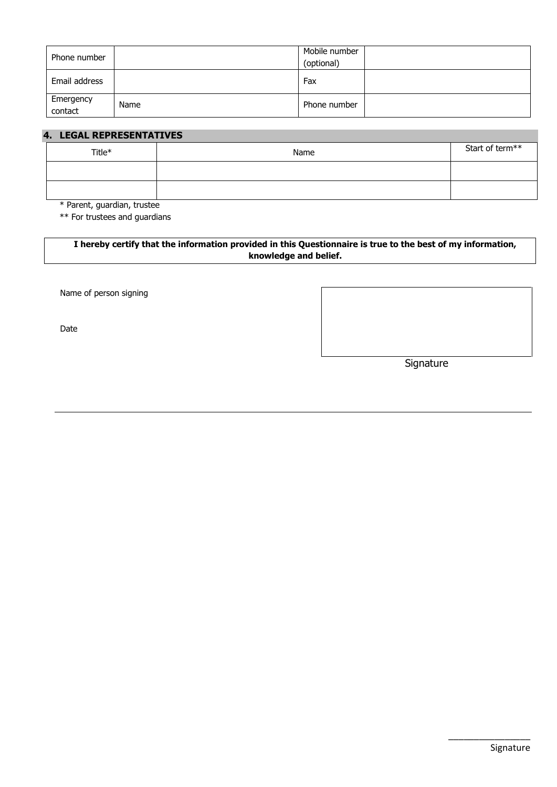| Phone number         |      | Mobile number<br>(optional) |  |
|----------------------|------|-----------------------------|--|
| Email address        |      | Fax                         |  |
| Emergency<br>contact | Name | Phone number                |  |

### **4. LEGAL REPRESENTATIVES**

| Title* | Name | Start of term** |
|--------|------|-----------------|
|        |      |                 |
|        |      |                 |

\* Parent, guardian, trustee

\*\* For trustees and guardians

### **I hereby certify that the information provided in this Questionnaire is true to the best of my information, knowledge and belief.**

Name of person signing

Date

**Signature**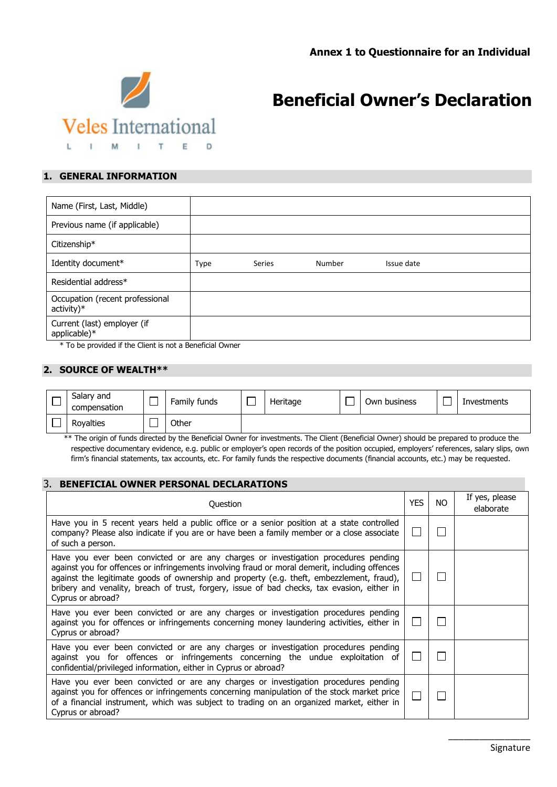

## **Beneficial Owner's Declaration**

### **1. GENERAL INFORMATION**

| Name (First, Last, Middle)                                                                                |             |               |        |            |
|-----------------------------------------------------------------------------------------------------------|-------------|---------------|--------|------------|
| Previous name (if applicable)                                                                             |             |               |        |            |
| Citizenship*                                                                                              |             |               |        |            |
| Identity document*                                                                                        | <b>Type</b> | <b>Series</b> | Number | Issue date |
| Residential address*                                                                                      |             |               |        |            |
| Occupation (recent professional<br>$active)*$                                                             |             |               |        |            |
| Current (last) employer (if<br>applicable)*<br>$*$ To be nuclided if the Client is not a Denoficial Oumon |             |               |        |            |

\* To be provided if the Client is not a Beneficial Owner

#### **2. SOURCE OF WEALTH\*\***

| Salary and<br>compensation | Family funds | Heritage | Own business | Investments |
|----------------------------|--------------|----------|--------------|-------------|
| Royalties                  | Other        |          |              |             |

 \*\* The origin of funds directed by the Beneficial Owner for investments. The Client (Beneficial Owner) should be prepared to produce the respective documentary evidence, e.g. public or employer's open records of the position occupied, employers' references, salary slips, own firm's financial statements, tax accounts, etc. For family funds the respective documents (financial accounts, etc.) may be requested.

### 3. **BENEFICIAL OWNER PERSONAL DECLARATIONS**

| Question                                                                                                                                                                                                                                                                                                                                                                                               | <b>YES</b> | NO. | If yes, please<br>elaborate |
|--------------------------------------------------------------------------------------------------------------------------------------------------------------------------------------------------------------------------------------------------------------------------------------------------------------------------------------------------------------------------------------------------------|------------|-----|-----------------------------|
| Have you in 5 recent years held a public office or a senior position at a state controlled<br>company? Please also indicate if you are or have been a family member or a close associate<br>of such a person.                                                                                                                                                                                          |            |     |                             |
| Have you ever been convicted or are any charges or investigation procedures pending<br>against you for offences or infringements involving fraud or moral demerit, including offences<br>against the legitimate goods of ownership and property (e.g. theft, embezzlement, fraud),<br>bribery and venality, breach of trust, forgery, issue of bad checks, tax evasion, either in<br>Cyprus or abroad? |            |     |                             |
| Have you ever been convicted or are any charges or investigation procedures pending<br>against you for offences or infringements concerning money laundering activities, either in<br>Cyprus or abroad?                                                                                                                                                                                                |            |     |                             |
| Have you ever been convicted or are any charges or investigation procedures pending<br>against you for offences or infringements concerning the undue exploitation of<br>confidential/privileged information, either in Cyprus or abroad?                                                                                                                                                              |            |     |                             |
| Have you ever been convicted or are any charges or investigation procedures pending<br>against you for offences or infringements concerning manipulation of the stock market price<br>of a financial instrument, which was subject to trading on an organized market, either in<br>Cyprus or abroad?                                                                                                   |            |     |                             |